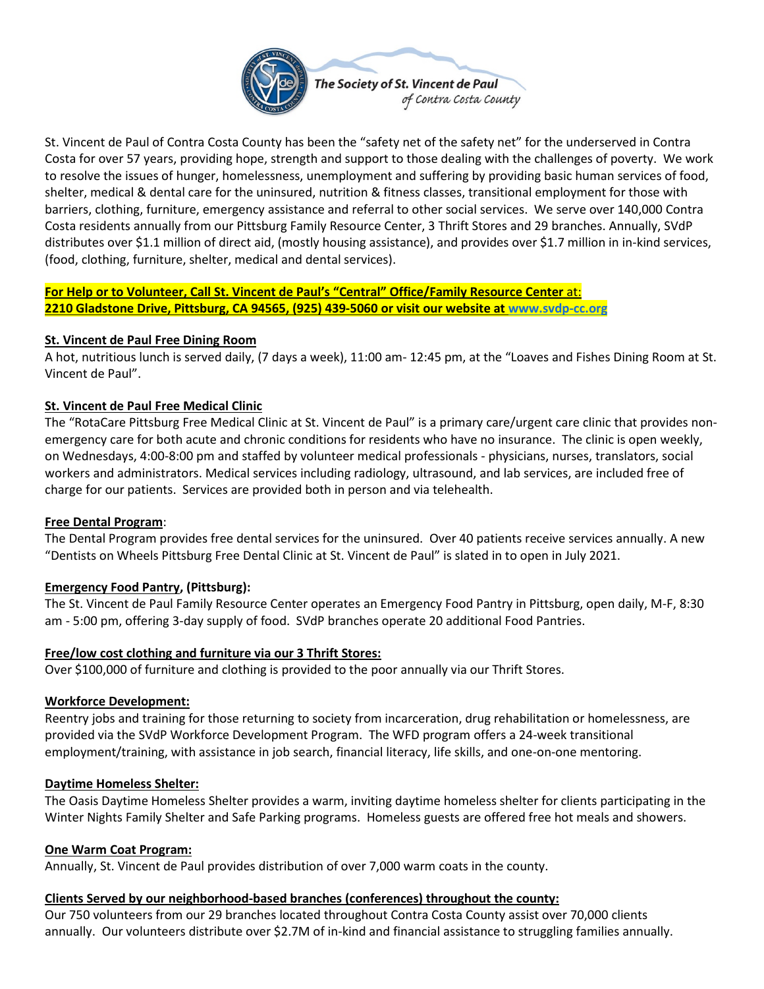

St. Vincent de Paul of Contra Costa County has been the "safety net of the safety net" for the underserved in Contra Costa for over 57 years, providing hope, strength and support to those dealing with the challenges of poverty. We work to resolve the issues of hunger, homelessness, unemployment and suffering by providing basic human services of food, shelter, medical & dental care for the uninsured, nutrition & fitness classes, transitional employment for those with barriers, clothing, furniture, emergency assistance and referral to other social services. We serve over 140,000 Contra Costa residents annually from our Pittsburg Family Resource Center, 3 Thrift Stores and 29 branches. Annually, SVdP distributes over \$1.1 million of direct aid, (mostly housing assistance), and provides over \$1.7 million in in-kind services, (food, clothing, furniture, shelter, medical and dental services).

**For Help or to Volunteer, Call St. Vincent de Paul's "Central" Office/Family Resource Center** at: **2210 Gladstone Drive, Pittsburg, CA 94565, (925) 439-5060 or visit our website at [www.svdp-cc.org](http://www.svdp-cc.org/)**

#### **St. Vincent de Paul Free Dining Room**

A hot, nutritious lunch is served daily, (7 days a week), 11:00 am- 12:45 pm, at the "Loaves and Fishes Dining Room at St. Vincent de Paul".

### **St. Vincent de Paul Free Medical Clinic**

The "RotaCare Pittsburg Free Medical Clinic at St. Vincent de Paul" is a primary care/urgent care clinic that provides nonemergency care for both acute and chronic conditions for residents who have no insurance. The clinic is open weekly, on Wednesdays, 4:00-8:00 pm and staffed by volunteer medical professionals - physicians, nurses, translators, social workers and administrators. Medical services including radiology, ultrasound, and lab services, are included free of charge for our patients. Services are provided both in person and via telehealth.

#### **Free Dental Program**:

The Dental Program provides free dental services for the uninsured. Over 40 patients receive services annually. A new "Dentists on Wheels Pittsburg Free Dental Clinic at St. Vincent de Paul" is slated in to open in July 2021.

## **Emergency Food Pantry, (Pittsburg):**

The St. Vincent de Paul Family Resource Center operates an Emergency Food Pantry in Pittsburg, open daily, M-F, 8:30 am - 5:00 pm, offering 3-day supply of food. SVdP branches operate 20 additional Food Pantries.

#### **Free/low cost clothing and furniture via our 3 Thrift Stores:**

Over \$100,000 of furniture and clothing is provided to the poor annually via our Thrift Stores.

#### **Workforce Development:**

Reentry jobs and training for those returning to society from incarceration, drug rehabilitation or homelessness, are provided via the SVdP Workforce Development Program. The WFD program offers a 24-week transitional employment/training, with assistance in job search, financial literacy, life skills, and one-on-one mentoring.

#### **Daytime Homeless Shelter:**

The Oasis Daytime Homeless Shelter provides a warm, inviting daytime homeless shelter for clients participating in the Winter Nights Family Shelter and Safe Parking programs. Homeless guests are offered free hot meals and showers.

#### **One Warm Coat Program:**

Annually, St. Vincent de Paul provides distribution of over 7,000 warm coats in the county.

#### **Clients Served by our neighborhood-based branches (conferences) throughout the county:**

Our 750 volunteers from our 29 branches located throughout Contra Costa County assist over 70,000 clients annually. Our volunteers distribute over \$2.7M of in-kind and financial assistance to struggling families annually.